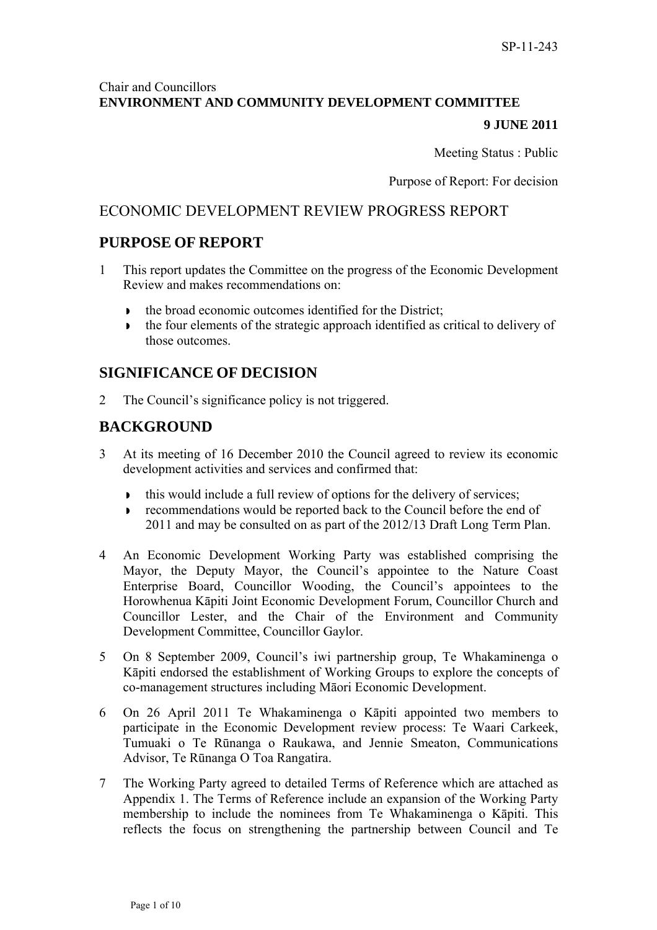# Chair and Councillors **ENVIRONMENT AND COMMUNITY DEVELOPMENT COMMITTEE**

### **9 JUNE 2011**

Meeting Status : Public

Purpose of Report: For decision

# ECONOMIC DEVELOPMENT REVIEW PROGRESS REPORT

# **PURPOSE OF REPORT**

- 1 This report updates the Committee on the progress of the Economic Development Review and makes recommendations on:
	- the broad economic outcomes identified for the District;
	- the four elements of the strategic approach identified as critical to delivery of those outcomes.

# **SIGNIFICANCE OF DECISION**

2 The Council's significance policy is not triggered.

# **BACKGROUND**

- 3 At its meeting of 16 December 2010 the Council agreed to review its economic development activities and services and confirmed that:
	- this would include a full review of options for the delivery of services;
	- **FICORY 1** recommendations would be reported back to the Council before the end of 2011 and may be consulted on as part of the 2012/13 Draft Long Term Plan.
- 4 An Economic Development Working Party was established comprising the Mayor, the Deputy Mayor, the Council's appointee to the Nature Coast Enterprise Board, Councillor Wooding, the Council's appointees to the Horowhenua Kāpiti Joint Economic Development Forum, Councillor Church and Councillor Lester, and the Chair of the Environment and Community Development Committee, Councillor Gaylor.
- 5 On 8 September 2009, Council's iwi partnership group, Te Whakaminenga o Kāpiti endorsed the establishment of Working Groups to explore the concepts of co-management structures including Māori Economic Development.
- 6 On 26 April 2011 Te Whakaminenga o Kāpiti appointed two members to participate in the Economic Development review process: Te Waari Carkeek, Tumuaki o Te Rūnanga o Raukawa, and Jennie Smeaton, Communications Advisor, Te Rūnanga O Toa Rangatira.
- 7 The Working Party agreed to detailed Terms of Reference which are attached as Appendix 1. The Terms of Reference include an expansion of the Working Party membership to include the nominees from Te Whakaminenga o Kāpiti. This reflects the focus on strengthening the partnership between Council and Te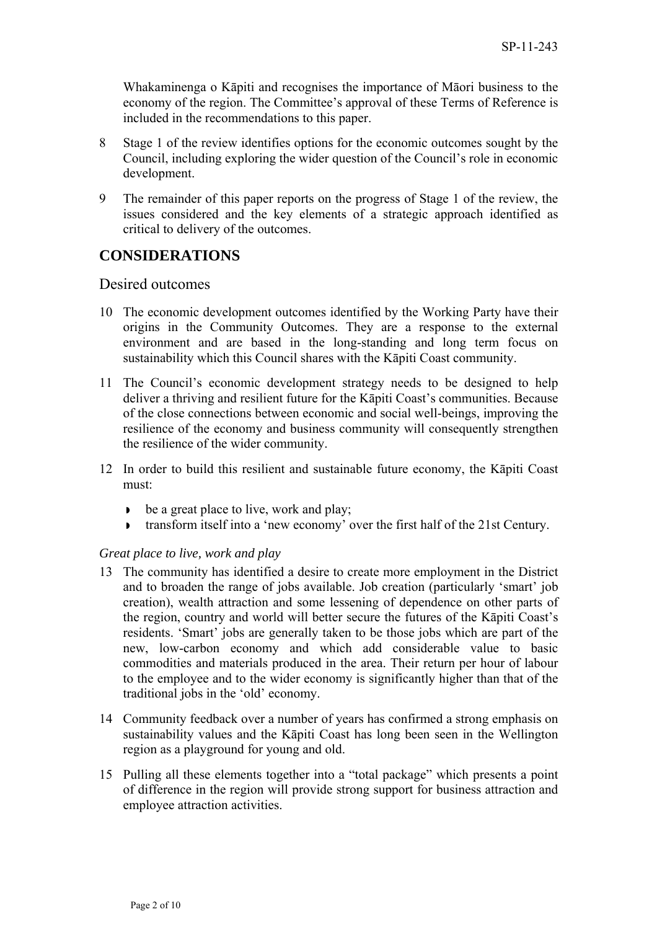Whakaminenga o Kāpiti and recognises the importance of Māori business to the economy of the region. The Committee's approval of these Terms of Reference is included in the recommendations to this paper.

- 8 Stage 1 of the review identifies options for the economic outcomes sought by the Council, including exploring the wider question of the Council's role in economic development.
- 9 The remainder of this paper reports on the progress of Stage 1 of the review, the issues considered and the key elements of a strategic approach identified as critical to delivery of the outcomes.

# **CONSIDERATIONS**

### Desired outcomes

- 10 The economic development outcomes identified by the Working Party have their origins in the Community Outcomes. They are a response to the external environment and are based in the long-standing and long term focus on sustainability which this Council shares with the Kāpiti Coast community.
- 11 The Council's economic development strategy needs to be designed to help deliver a thriving and resilient future for the Kāpiti Coast's communities. Because of the close connections between economic and social well-beings, improving the resilience of the economy and business community will consequently strengthen the resilience of the wider community.
- 12 In order to build this resilient and sustainable future economy, the Kāpiti Coast must:
	- be a great place to live, work and play;
	- transform itself into a 'new economy' over the first half of the 21st Century.

#### *Great place to live, work and play*

- 13 The community has identified a desire to create more employment in the District and to broaden the range of jobs available. Job creation (particularly 'smart' job creation), wealth attraction and some lessening of dependence on other parts of the region, country and world will better secure the futures of the Kāpiti Coast's residents. 'Smart' jobs are generally taken to be those jobs which are part of the new, low-carbon economy and which add considerable value to basic commodities and materials produced in the area. Their return per hour of labour to the employee and to the wider economy is significantly higher than that of the traditional jobs in the 'old' economy.
- 14 Community feedback over a number of years has confirmed a strong emphasis on sustainability values and the Kāpiti Coast has long been seen in the Wellington region as a playground for young and old.
- 15 Pulling all these elements together into a "total package" which presents a point of difference in the region will provide strong support for business attraction and employee attraction activities.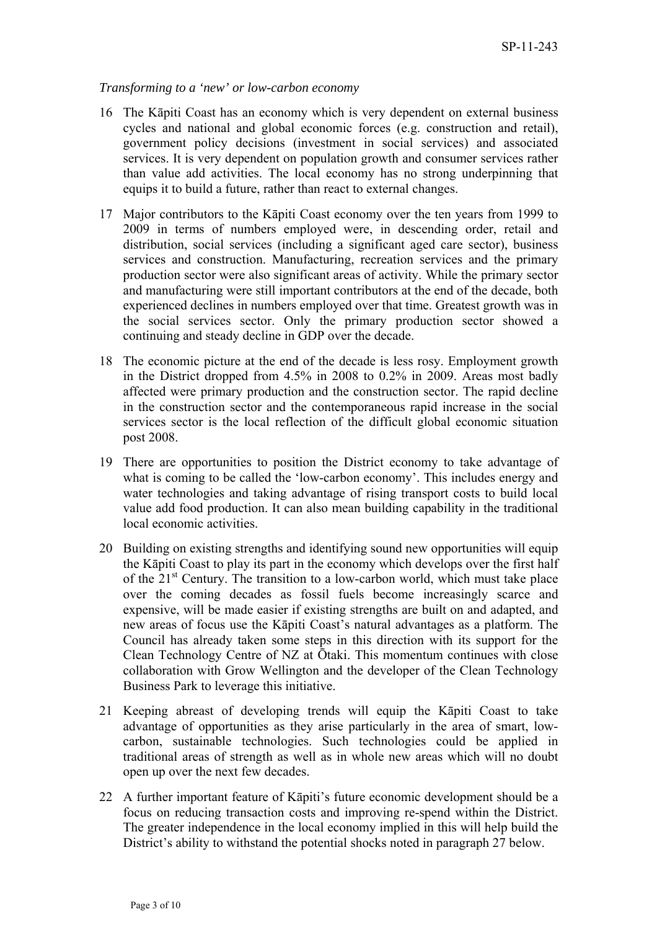#### *Transforming to a 'new' or low-carbon economy*

- 16 The Kāpiti Coast has an economy which is very dependent on external business cycles and national and global economic forces (e.g. construction and retail), government policy decisions (investment in social services) and associated services. It is very dependent on population growth and consumer services rather than value add activities. The local economy has no strong underpinning that equips it to build a future, rather than react to external changes.
- 17 Major contributors to the Kāpiti Coast economy over the ten years from 1999 to 2009 in terms of numbers employed were, in descending order, retail and distribution, social services (including a significant aged care sector), business services and construction. Manufacturing, recreation services and the primary production sector were also significant areas of activity. While the primary sector and manufacturing were still important contributors at the end of the decade, both experienced declines in numbers employed over that time. Greatest growth was in the social services sector. Only the primary production sector showed a continuing and steady decline in GDP over the decade.
- 18 The economic picture at the end of the decade is less rosy. Employment growth in the District dropped from 4.5% in 2008 to 0.2% in 2009. Areas most badly affected were primary production and the construction sector. The rapid decline in the construction sector and the contemporaneous rapid increase in the social services sector is the local reflection of the difficult global economic situation post 2008.
- 19 There are opportunities to position the District economy to take advantage of what is coming to be called the 'low-carbon economy'. This includes energy and water technologies and taking advantage of rising transport costs to build local value add food production. It can also mean building capability in the traditional local economic activities.
- 20 Building on existing strengths and identifying sound new opportunities will equip the Kāpiti Coast to play its part in the economy which develops over the first half of the  $21<sup>st</sup>$  Century. The transition to a low-carbon world, which must take place over the coming decades as fossil fuels become increasingly scarce and expensive, will be made easier if existing strengths are built on and adapted, and new areas of focus use the Kāpiti Coast's natural advantages as a platform. The Council has already taken some steps in this direction with its support for the Clean Technology Centre of NZ at Ōtaki. This momentum continues with close collaboration with Grow Wellington and the developer of the Clean Technology Business Park to leverage this initiative.
- 21 Keeping abreast of developing trends will equip the Kāpiti Coast to take advantage of opportunities as they arise particularly in the area of smart, lowcarbon, sustainable technologies. Such technologies could be applied in traditional areas of strength as well as in whole new areas which will no doubt open up over the next few decades.
- 22 A further important feature of Kāpiti's future economic development should be a focus on reducing transaction costs and improving re-spend within the District. The greater independence in the local economy implied in this will help build the District's ability to withstand the potential shocks noted in paragraph 27 below.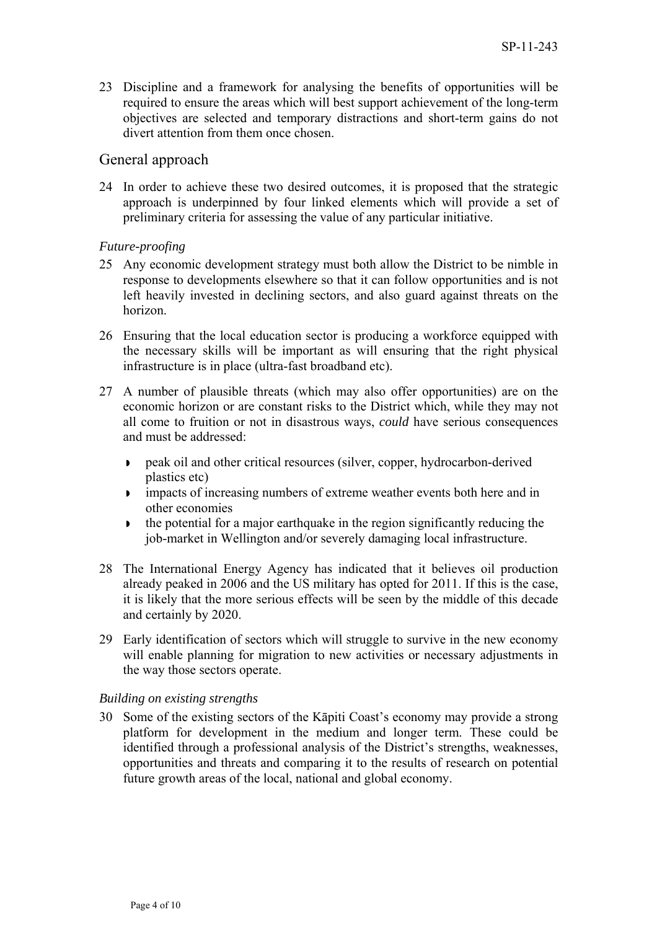23 Discipline and a framework for analysing the benefits of opportunities will be required to ensure the areas which will best support achievement of the long-term objectives are selected and temporary distractions and short-term gains do not divert attention from them once chosen.

## General approach

24 In order to achieve these two desired outcomes, it is proposed that the strategic approach is underpinned by four linked elements which will provide a set of preliminary criteria for assessing the value of any particular initiative.

### *Future-proofing*

- 25 Any economic development strategy must both allow the District to be nimble in response to developments elsewhere so that it can follow opportunities and is not left heavily invested in declining sectors, and also guard against threats on the horizon.
- 26 Ensuring that the local education sector is producing a workforce equipped with the necessary skills will be important as will ensuring that the right physical infrastructure is in place (ultra-fast broadband etc).
- 27 A number of plausible threats (which may also offer opportunities) are on the economic horizon or are constant risks to the District which, while they may not all come to fruition or not in disastrous ways, *could* have serious consequences and must be addressed:
	- peak oil and other critical resources (silver, copper, hydrocarbon-derived plastics etc)
	- impacts of increasing numbers of extreme weather events both here and in other economies
	- $\bullet$  the potential for a major earthquake in the region significantly reducing the job-market in Wellington and/or severely damaging local infrastructure.
- 28 The International Energy Agency has indicated that it believes oil production already peaked in 2006 and the US military has opted for 2011. If this is the case, it is likely that the more serious effects will be seen by the middle of this decade and certainly by 2020.
- 29 Early identification of sectors which will struggle to survive in the new economy will enable planning for migration to new activities or necessary adjustments in the way those sectors operate.

#### *Building on existing strengths*

30 Some of the existing sectors of the Kāpiti Coast's economy may provide a strong platform for development in the medium and longer term. These could be identified through a professional analysis of the District's strengths, weaknesses, opportunities and threats and comparing it to the results of research on potential future growth areas of the local, national and global economy.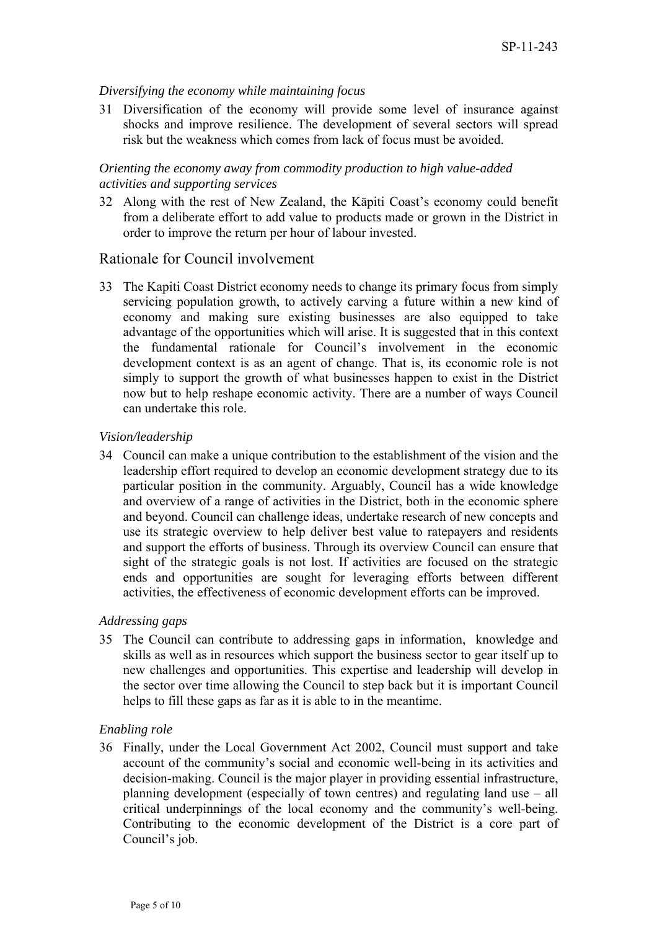### *Diversifying the economy while maintaining focus*

31 Diversification of the economy will provide some level of insurance against shocks and improve resilience. The development of several sectors will spread risk but the weakness which comes from lack of focus must be avoided.

## *Orienting the economy away from commodity production to high value-added activities and supporting services*

32 Along with the rest of New Zealand, the Kāpiti Coast's economy could benefit from a deliberate effort to add value to products made or grown in the District in order to improve the return per hour of labour invested.

# Rationale for Council involvement

33 The Kapiti Coast District economy needs to change its primary focus from simply servicing population growth, to actively carving a future within a new kind of economy and making sure existing businesses are also equipped to take advantage of the opportunities which will arise. It is suggested that in this context the fundamental rationale for Council's involvement in the economic development context is as an agent of change. That is, its economic role is not simply to support the growth of what businesses happen to exist in the District now but to help reshape economic activity. There are a number of ways Council can undertake this role.

### *Vision/leadership*

34 Council can make a unique contribution to the establishment of the vision and the leadership effort required to develop an economic development strategy due to its particular position in the community. Arguably, Council has a wide knowledge and overview of a range of activities in the District, both in the economic sphere and beyond. Council can challenge ideas, undertake research of new concepts and use its strategic overview to help deliver best value to ratepayers and residents and support the efforts of business. Through its overview Council can ensure that sight of the strategic goals is not lost. If activities are focused on the strategic ends and opportunities are sought for leveraging efforts between different activities, the effectiveness of economic development efforts can be improved.

#### *Addressing gaps*

35 The Council can contribute to addressing gaps in information, knowledge and skills as well as in resources which support the business sector to gear itself up to new challenges and opportunities. This expertise and leadership will develop in the sector over time allowing the Council to step back but it is important Council helps to fill these gaps as far as it is able to in the meantime.

#### *Enabling role*

36 Finally, under the Local Government Act 2002, Council must support and take account of the community's social and economic well-being in its activities and decision-making. Council is the major player in providing essential infrastructure, planning development (especially of town centres) and regulating land use – all critical underpinnings of the local economy and the community's well-being. Contributing to the economic development of the District is a core part of Council's job.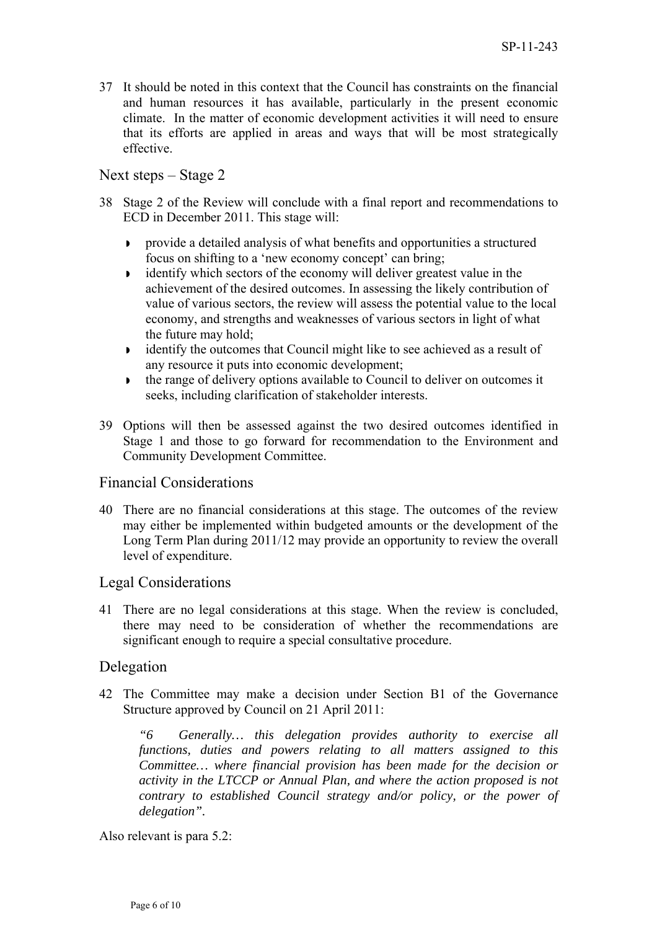37 It should be noted in this context that the Council has constraints on the financial and human resources it has available, particularly in the present economic climate. In the matter of economic development activities it will need to ensure that its efforts are applied in areas and ways that will be most strategically effective.

# Next steps – Stage 2

- 38 Stage 2 of the Review will conclude with a final report and recommendations to ECD in December 2011. This stage will:
	- provide a detailed analysis of what benefits and opportunities a structured focus on shifting to a 'new economy concept' can bring;
	- identify which sectors of the economy will deliver greatest value in the achievement of the desired outcomes. In assessing the likely contribution of value of various sectors, the review will assess the potential value to the local economy, and strengths and weaknesses of various sectors in light of what the future may hold;
	- identify the outcomes that Council might like to see achieved as a result of any resource it puts into economic development;
	- the range of delivery options available to Council to deliver on outcomes it seeks, including clarification of stakeholder interests.
- 39 Options will then be assessed against the two desired outcomes identified in Stage 1 and those to go forward for recommendation to the Environment and Community Development Committee.

## Financial Considerations

40 There are no financial considerations at this stage. The outcomes of the review may either be implemented within budgeted amounts or the development of the Long Term Plan during 2011/12 may provide an opportunity to review the overall level of expenditure.

## Legal Considerations

41 There are no legal considerations at this stage. When the review is concluded, there may need to be consideration of whether the recommendations are significant enough to require a special consultative procedure.

## Delegation

42 The Committee may make a decision under Section B1 of the Governance Structure approved by Council on 21 April 2011:

*"6 Generally… this delegation provides authority to exercise all functions, duties and powers relating to all matters assigned to this Committee… where financial provision has been made for the decision or activity in the LTCCP or Annual Plan, and where the action proposed is not contrary to established Council strategy and/or policy, or the power of delegation".* 

Also relevant is para 5.2: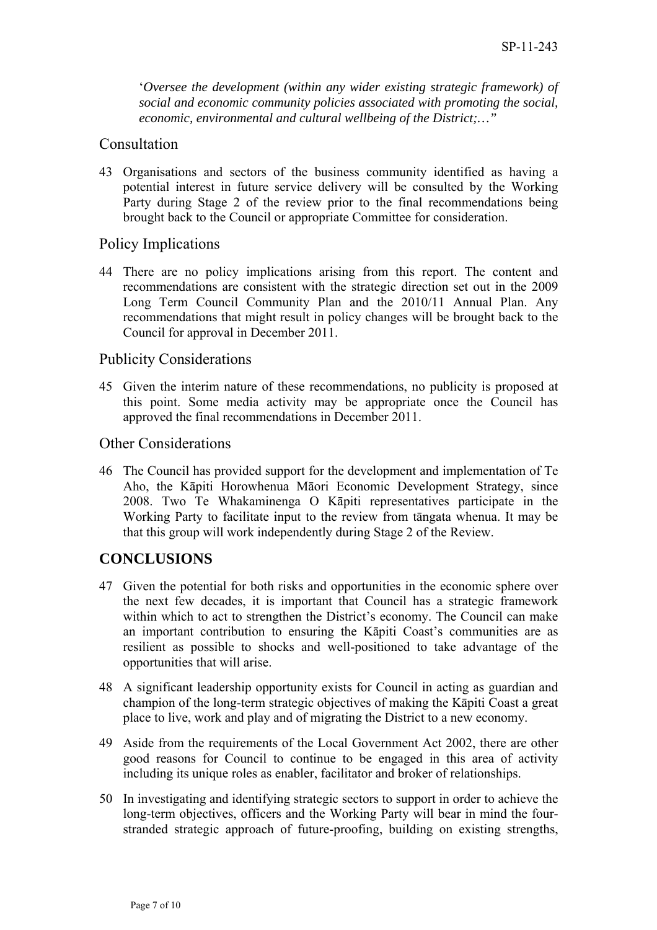'*Oversee the development (within any wider existing strategic framework) of social and economic community policies associated with promoting the social, economic, environmental and cultural wellbeing of the District;…"* 

## Consultation

43 Organisations and sectors of the business community identified as having a potential interest in future service delivery will be consulted by the Working Party during Stage 2 of the review prior to the final recommendations being brought back to the Council or appropriate Committee for consideration.

# Policy Implications

44 There are no policy implications arising from this report. The content and recommendations are consistent with the strategic direction set out in the 2009 Long Term Council Community Plan and the 2010/11 Annual Plan. Any recommendations that might result in policy changes will be brought back to the Council for approval in December 2011.

# Publicity Considerations

45 Given the interim nature of these recommendations, no publicity is proposed at this point. Some media activity may be appropriate once the Council has approved the final recommendations in December 2011.

# Other Considerations

46 The Council has provided support for the development and implementation of Te Aho, the Kāpiti Horowhenua Māori Economic Development Strategy, since 2008. Two Te Whakaminenga O Kāpiti representatives participate in the Working Party to facilitate input to the review from tāngata whenua. It may be that this group will work independently during Stage 2 of the Review.

# **CONCLUSIONS**

- 47 Given the potential for both risks and opportunities in the economic sphere over the next few decades, it is important that Council has a strategic framework within which to act to strengthen the District's economy. The Council can make an important contribution to ensuring the Kāpiti Coast's communities are as resilient as possible to shocks and well-positioned to take advantage of the opportunities that will arise.
- 48 A significant leadership opportunity exists for Council in acting as guardian and champion of the long-term strategic objectives of making the Kāpiti Coast a great place to live, work and play and of migrating the District to a new economy.
- 49 Aside from the requirements of the Local Government Act 2002, there are other good reasons for Council to continue to be engaged in this area of activity including its unique roles as enabler, facilitator and broker of relationships.
- 50 In investigating and identifying strategic sectors to support in order to achieve the long-term objectives, officers and the Working Party will bear in mind the fourstranded strategic approach of future-proofing, building on existing strengths,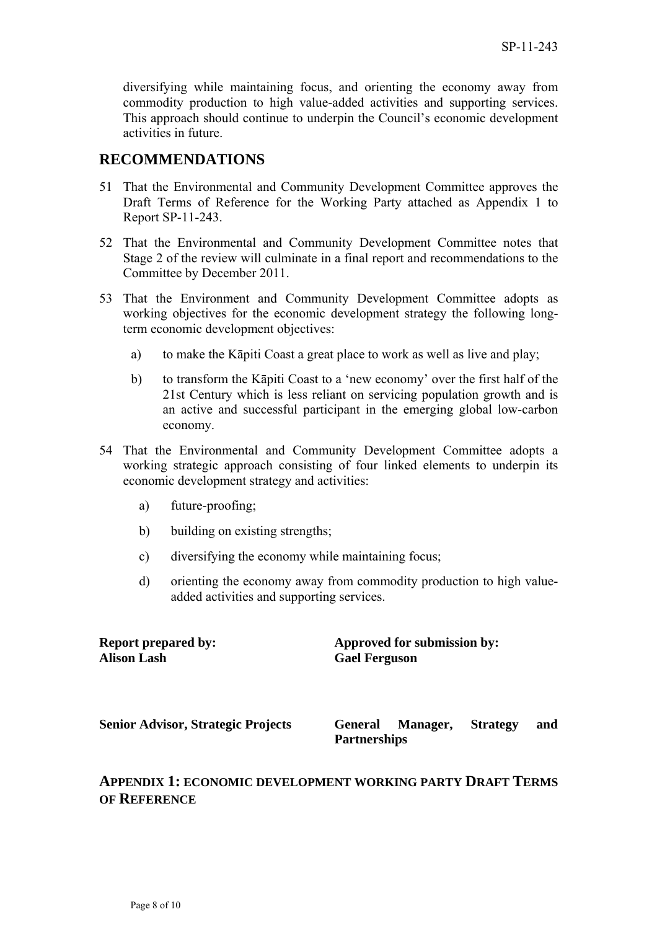diversifying while maintaining focus, and orienting the economy away from commodity production to high value-added activities and supporting services. This approach should continue to underpin the Council's economic development activities in future.

# **RECOMMENDATIONS**

- 51 That the Environmental and Community Development Committee approves the Draft Terms of Reference for the Working Party attached as Appendix 1 to Report SP-11-243.
- 52 That the Environmental and Community Development Committee notes that Stage 2 of the review will culminate in a final report and recommendations to the Committee by December 2011.
- 53 That the Environment and Community Development Committee adopts as working objectives for the economic development strategy the following longterm economic development objectives:
	- a) to make the Kāpiti Coast a great place to work as well as live and play;
	- b) to transform the Kāpiti Coast to a 'new economy' over the first half of the 21st Century which is less reliant on servicing population growth and is an active and successful participant in the emerging global low-carbon economy.
- 54 That the Environmental and Community Development Committee adopts a working strategic approach consisting of four linked elements to underpin its economic development strategy and activities:
	- a) future-proofing;
	- b) building on existing strengths;
	- c) diversifying the economy while maintaining focus;
	- d) orienting the economy away from commodity production to high valueadded activities and supporting services.

| <b>Report prepared by:</b>                | Approved for submission by:                       |                 |     |
|-------------------------------------------|---------------------------------------------------|-----------------|-----|
| Alison Lash                               | <b>Gael Ferguson</b>                              |                 |     |
| <b>Senior Advisor, Strategic Projects</b> | <b>General</b><br>Manager,<br><b>Partnerships</b> | <b>Strategy</b> | and |

# **APPENDIX 1: ECONOMIC DEVELOPMENT WORKING PARTY DRAFT TERMS OF REFERENCE**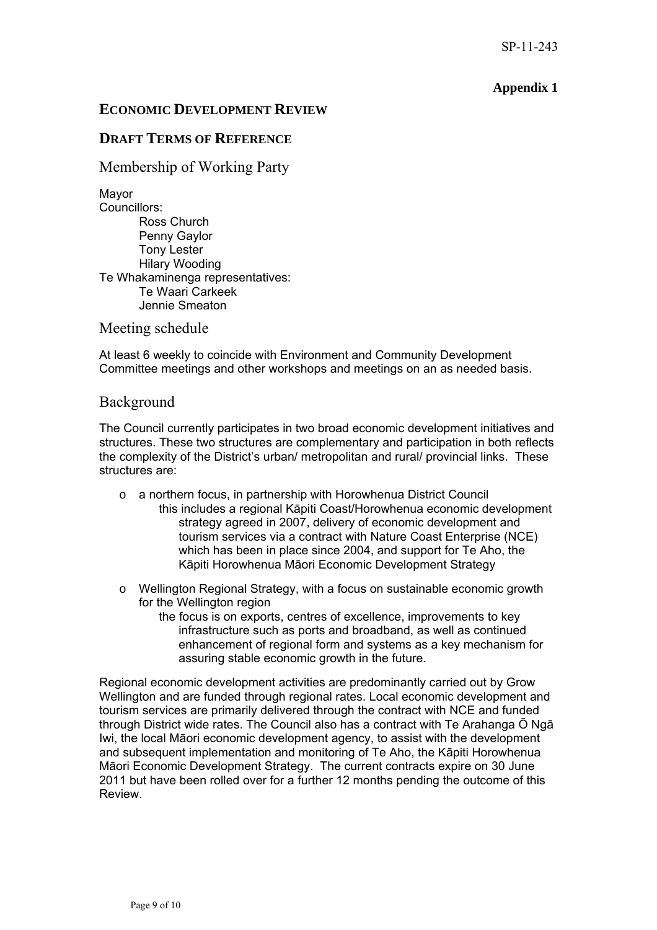## **Appendix 1**

### **ECONOMIC DEVELOPMENT REVIEW**

## **DRAFT TERMS OF REFERENCE**

Membership of Working Party

Mayor Councillors: Ross Church Penny Gaylor Tony Lester Hilary Wooding Te Whakaminenga representatives: Te Waari Carkeek Jennie Smeaton

Meeting schedule

At least 6 weekly to coincide with Environment and Community Development Committee meetings and other workshops and meetings on an as needed basis.

#### Background

The Council currently participates in two broad economic development initiatives and structures. These two structures are complementary and participation in both reflects the complexity of the District's urban/ metropolitan and rural/ provincial links. These structures are:

- o a northern focus, in partnership with Horowhenua District Council this includes a regional Kāpiti Coast/Horowhenua economic development strategy agreed in 2007, delivery of economic development and tourism services via a contract with Nature Coast Enterprise (NCE) which has been in place since 2004, and support for Te Aho, the Kāpiti Horowhenua Māori Economic Development Strategy
- o Wellington Regional Strategy, with a focus on sustainable economic growth for the Wellington region
	- the focus is on exports, centres of excellence, improvements to key infrastructure such as ports and broadband, as well as continued enhancement of regional form and systems as a key mechanism for assuring stable economic growth in the future.

Regional economic development activities are predominantly carried out by Grow Wellington and are funded through regional rates. Local economic development and tourism services are primarily delivered through the contract with NCE and funded through District wide rates. The Council also has a contract with Te Arahanga Ō Ngā Iwi, the local Māori economic development agency, to assist with the development and subsequent implementation and monitoring of Te Aho, the Kāpiti Horowhenua Māori Economic Development Strategy. The current contracts expire on 30 June 2011 but have been rolled over for a further 12 months pending the outcome of this Review.